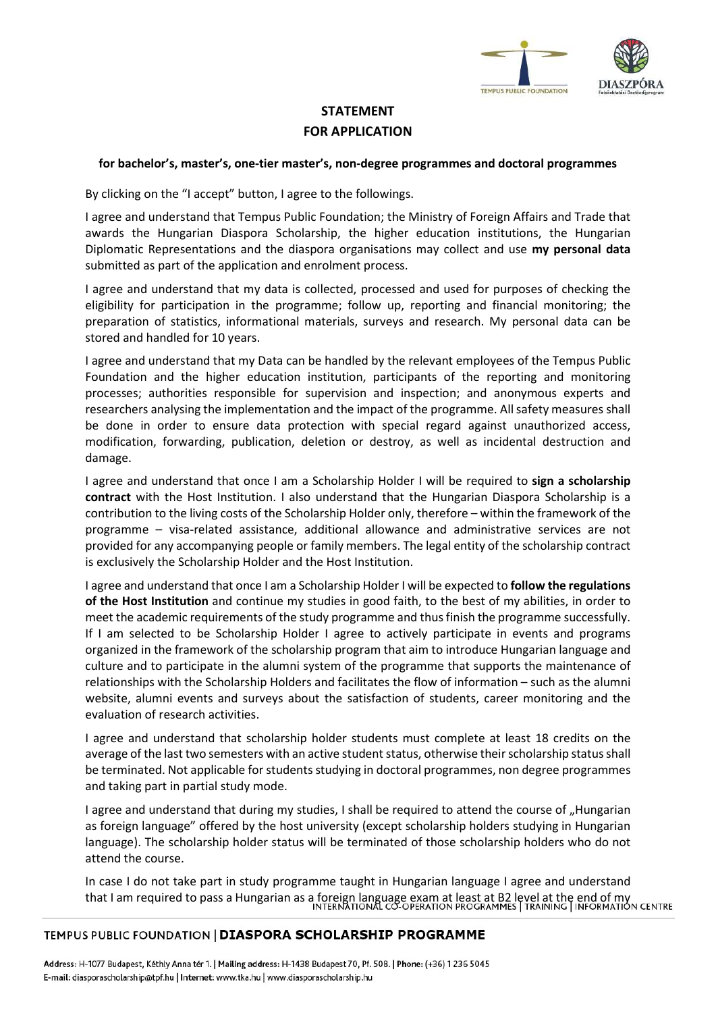

# STATEMENT FOR APPLICATION

#### for bachelor's, master's, one-tier master's, non-degree programmes and doctoral programmes

By clicking on the "I accept" button, I agree to the followings.

I agree and understand that Tempus Public Foundation; the Ministry of Foreign Affairs and Trade that awards the Hungarian Diaspora Scholarship, the higher education institutions, the Hungarian Diplomatic Representations and the diaspora organisations may collect and use my personal data submitted as part of the application and enrolment process.

I agree and understand that my data is collected, processed and used for purposes of checking the eligibility for participation in the programme; follow up, reporting and financial monitoring; the preparation of statistics, informational materials, surveys and research. My personal data can be stored and handled for 10 years.

I agree and understand that my Data can be handled by the relevant employees of the Tempus Public Foundation and the higher education institution, participants of the reporting and monitoring processes; authorities responsible for supervision and inspection; and anonymous experts and researchers analysing the implementation and the impact of the programme. All safety measures shall be done in order to ensure data protection with special regard against unauthorized access, modification, forwarding, publication, deletion or destroy, as well as incidental destruction and damage.

I agree and understand that once I am a Scholarship Holder I will be required to sign a scholarship contract with the Host Institution. I also understand that the Hungarian Diaspora Scholarship is a contribution to the living costs of the Scholarship Holder only, therefore – within the framework of the programme – visa-related assistance, additional allowance and administrative services are not provided for any accompanying people or family members. The legal entity of the scholarship contract is exclusively the Scholarship Holder and the Host Institution.

I agree and understand that once I am a Scholarship Holder I will be expected to follow the regulations of the Host Institution and continue my studies in good faith, to the best of my abilities, in order to meet the academic requirements of the study programme and thus finish the programme successfully. If I am selected to be Scholarship Holder I agree to actively participate in events and programs organized in the framework of the scholarship program that aim to introduce Hungarian language and culture and to participate in the alumni system of the programme that supports the maintenance of relationships with the Scholarship Holders and facilitates the flow of information – such as the alumni website, alumni events and surveys about the satisfaction of students, career monitoring and the evaluation of research activities.

I agree and understand that scholarship holder students must complete at least 18 credits on the average of the last two semesters with an active student status, otherwise their scholarship status shall be terminated. Not applicable for students studying in doctoral programmes, non degree programmes and taking part in partial study mode.

I agree and understand that during my studies, I shall be required to attend the course of "Hungarian as foreign language" offered by the host university (except scholarship holders studying in Hungarian language). The scholarship holder status will be terminated of those scholarship holders who do not attend the course.

In case I do not take part in study programme taught in Hungarian language I agree and understand that I am required to pass a Hungarian as a foreign language exam at least at B2 level at the end of my<br>INTERNATIONAL CO-OPERATION PROGRAMMES LIRAINING LINFORMATION CENTRE

## TEMPUS PUBLIC FOUNDATION | DIASPORA SCHOLARSHIP PROGRAMME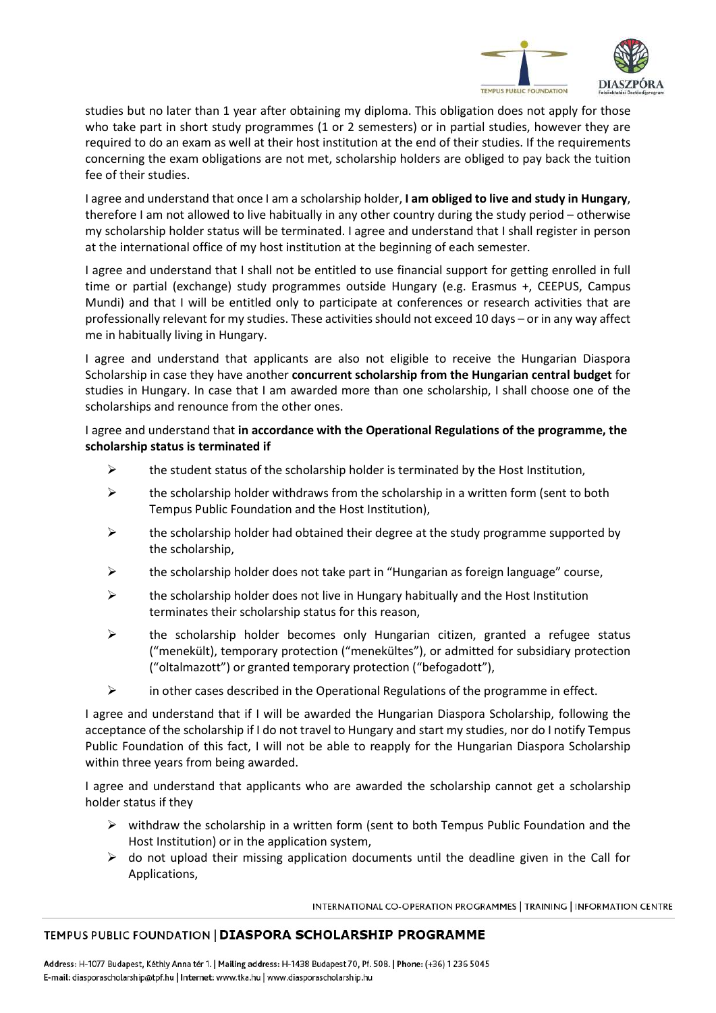

studies but no later than 1 year after obtaining my diploma. This obligation does not apply for those who take part in short study programmes (1 or 2 semesters) or in partial studies, however they are required to do an exam as well at their host institution at the end of their studies. If the requirements concerning the exam obligations are not met, scholarship holders are obliged to pay back the tuition fee of their studies.

I agree and understand that once I am a scholarship holder, I am obliged to live and study in Hungary, therefore I am not allowed to live habitually in any other country during the study period – otherwise my scholarship holder status will be terminated. I agree and understand that I shall register in person at the international office of my host institution at the beginning of each semester.

I agree and understand that I shall not be entitled to use financial support for getting enrolled in full time or partial (exchange) study programmes outside Hungary (e.g. Erasmus +, CEEPUS, Campus Mundi) and that I will be entitled only to participate at conferences or research activities that are professionally relevant for my studies. These activities should not exceed 10 days – or in any way affect me in habitually living in Hungary.

I agree and understand that applicants are also not eligible to receive the Hungarian Diaspora Scholarship in case they have another concurrent scholarship from the Hungarian central budget for studies in Hungary. In case that I am awarded more than one scholarship, I shall choose one of the scholarships and renounce from the other ones.

I agree and understand that in accordance with the Operational Regulations of the programme, the scholarship status is terminated if

- $\triangleright$  the student status of the scholarship holder is terminated by the Host Institution,
- $\triangleright$  the scholarship holder withdraws from the scholarship in a written form (sent to both Tempus Public Foundation and the Host Institution),
- $\triangleright$  the scholarship holder had obtained their degree at the study programme supported by the scholarship,
- $\triangleright$  the scholarship holder does not take part in "Hungarian as foreign language" course,
- $\triangleright$  the scholarship holder does not live in Hungary habitually and the Host Institution terminates their scholarship status for this reason,
- $\triangleright$  the scholarship holder becomes only Hungarian citizen, granted a refugee status ("menekült), temporary protection ("menekültes"), or admitted for subsidiary protection ("oltalmazott") or granted temporary protection ("befogadott"),
- in other cases described in the Operational Regulations of the programme in effect.

I agree and understand that if I will be awarded the Hungarian Diaspora Scholarship, following the acceptance of the scholarship if I do not travel to Hungary and start my studies, nor do I notify Tempus Public Foundation of this fact, I will not be able to reapply for the Hungarian Diaspora Scholarship within three years from being awarded.

I agree and understand that applicants who are awarded the scholarship cannot get a scholarship holder status if they

- $\triangleright$  withdraw the scholarship in a written form (sent to both Tempus Public Foundation and the Host Institution) or in the application system,
- $\triangleright$  do not upload their missing application documents until the deadline given in the Call for Applications,

INTERNATIONAL CO-OPERATION PROGRAMMES | TRAINING | INFORMATION CENTRE

## TEMPUS PUBLIC FOUNDATION | DIASPORA SCHOLARSHIP PROGRAMME